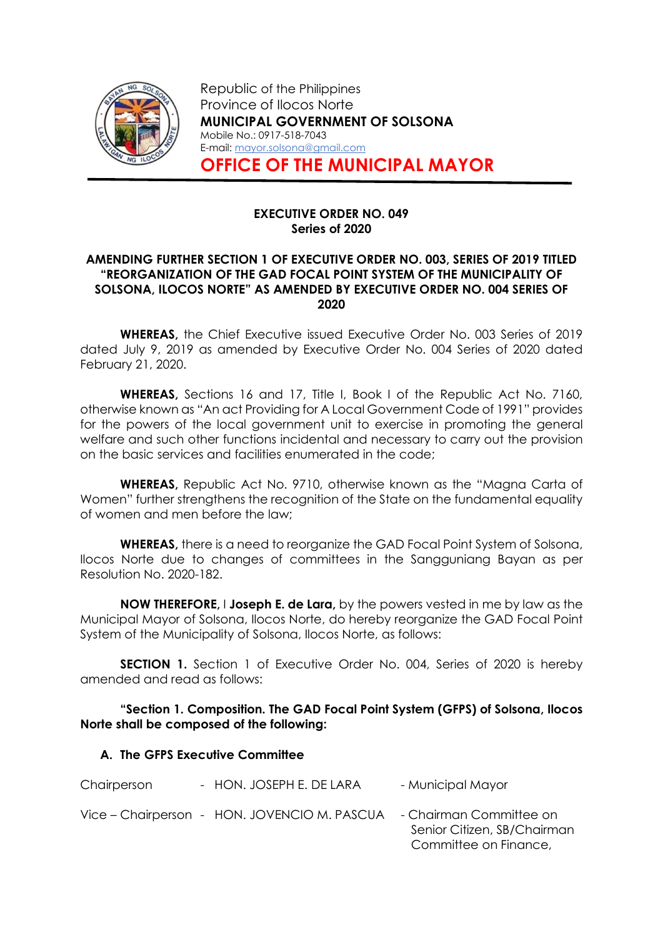

Republic of the Philippines Province of Ilocos Norte MUNICIPAL GOVERNMENT OF SOLSONA Mobile No.: 0917-518-7043 E-mail: mayor.solsona@gmail.com OFFICE OF THE MUNICIPAL MAYOR

### EXECUTIVE ORDER NO. 049 Series of 2020

### AMENDING FURTHER SECTION 1 OF EXECUTIVE ORDER NO. 003, SERIES OF 2019 TITLED "REORGANIZATION OF THE GAD FOCAL POINT SYSTEM OF THE MUNICIPALITY OF SOLSONA, ILOCOS NORTE" AS AMENDED BY EXECUTIVE ORDER NO. 004 SERIES OF 2020

WHEREAS, the Chief Executive issued Executive Order No. 003 Series of 2019 dated July 9, 2019 as amended by Executive Order No. 004 Series of 2020 dated February 21, 2020.

WHEREAS, Sections 16 and 17, Title I, Book I of the Republic Act No. 7160, otherwise known as "An act Providing for A Local Government Code of 1991" provides for the powers of the local government unit to exercise in promoting the general welfare and such other functions incidental and necessary to carry out the provision on the basic services and facilities enumerated in the code;

WHEREAS, Republic Act No. 9710, otherwise known as the "Magna Carta of Women" further strengthens the recognition of the State on the fundamental equality of women and men before the law;

WHEREAS, there is a need to reorganize the GAD Focal Point System of Solsona, Ilocos Norte due to changes of committees in the Sangguniang Bayan as per Resolution No. 2020-182.

**NOW THEREFORE, I Joseph E. de Lara, by the powers vested in me by law as the** Municipal Mayor of Solsona, Ilocos Norte, do hereby reorganize the GAD Focal Point System of the Municipality of Solsona, Ilocos Norte, as follows:

SECTION 1. Section 1 of Executive Order No. 004, Series of 2020 is hereby amended and read as follows:

# "Section 1. Composition. The GAD Focal Point System (GFPS) of Solsona, Ilocos Norte shall be composed of the following:

# A. The GFPS Executive Committee

| Chairperson              | - HON. JOSEPH E. DE LARA      | - Municipal Mayor   |
|--------------------------|-------------------------------|---------------------|
| <i>llian</i> Chairperson | $IOMI$ $IONIRICIO M R R CIIA$ | Chairman & Conmiter |

Vice – Chairperson - HON. JOVENCIO M. PASCUA - Chairman Committee on Senior Citizen, SB/Chairman Committee on Finance,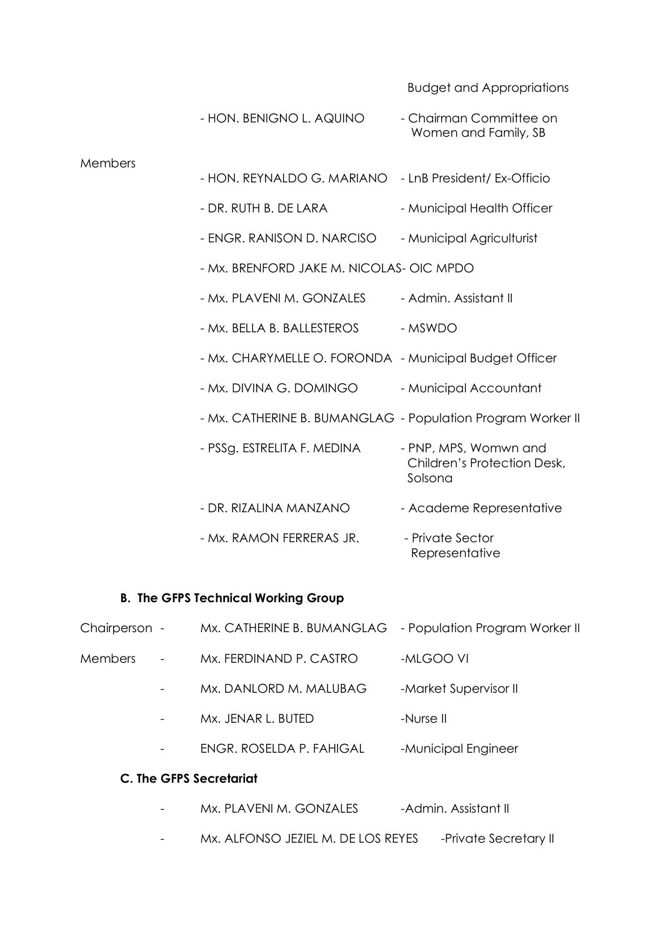Budget and Appropriations

Representative

|         | - HON. BENIGNO L. AQUINO                                    | - Chairman Committee on<br>Women and Family, SB                 |
|---------|-------------------------------------------------------------|-----------------------------------------------------------------|
| Members |                                                             |                                                                 |
|         | - HON. REYNALDO G. MARIANO - LnB President/ Ex-Officio      |                                                                 |
|         | - DR. RUTH B. DE LARA                                       | - Municipal Health Officer                                      |
|         | - ENGR. RANISON D. NARCISO                                  | - Municipal Agriculturist                                       |
|         | - Mx. BRENFORD JAKE M. NICOLAS- OIC MPDO                    |                                                                 |
|         | - Mx. PLAVENI M. GONZALES                                   | - Admin, Assistant II                                           |
|         | - Mx. BELLA B. BALLESTEROS                                  | - MSWDO                                                         |
|         | - Mx. CHARYMELLE O. FORONDA - Municipal Budget Officer      |                                                                 |
|         | - Mx. DIVINA G. DOMINGO                                     | - Municipal Accountant                                          |
|         | - Mx. CATHERINE B. BUMANGLAG - Population Program Worker II |                                                                 |
|         | - PSSg. ESTRELITA F. MEDINA                                 | - PNP, MPS, Womwn and<br>Children's Protection Desk,<br>Solsona |
|         | - DR. RIZALINA MANZANO                                      | - Academe Representative                                        |
|         | - Mx. RAMON FERRERAS JR.                                    | - Private Sector                                                |

# B. The GFPS Technical Working Group

| Chairperson -                  |                          | Mx. CATHERINE B. BUMANGLAG - Population Program Worker II |                       |
|--------------------------------|--------------------------|-----------------------------------------------------------|-----------------------|
| <b>Members</b>                 | $\overline{\phantom{a}}$ | Mx. FERDINAND P. CASTRO                                   | -MLGOO VI             |
|                                | $\overline{\phantom{a}}$ | Mx. DANLORD M. MALUBAG                                    | -Market Supervisor II |
|                                |                          | Mx. JENAR L. BUTED                                        | -Nurse II             |
|                                | $\overline{\phantom{a}}$ | ENGR. ROSELDA P. FAHIGAL                                  | -Municipal Engineer   |
| <b>C. The GFPS Secretariat</b> |                          |                                                           |                       |
|                                | $\qquad \qquad -$        | Mx. PLAVENI M. GONZALES                                   | -Admin, Assistant II  |

- Mx. ALFONSO JEZIEL M. DE LOS REYES -Private Secretary II